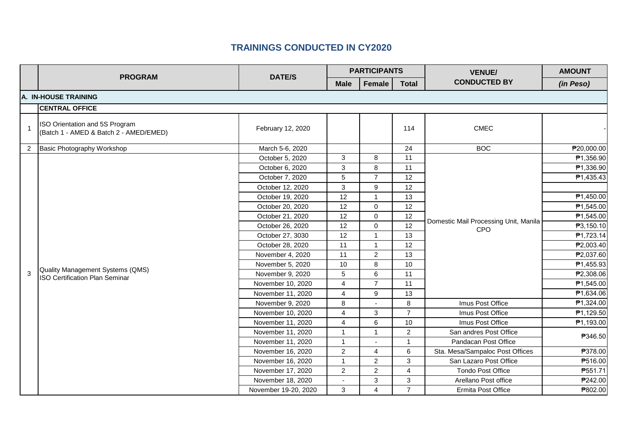|                | <b>PROGRAM</b>                                                            | <b>DATE/S</b>        | <b>PARTICIPANTS</b> |                |                 | <b>VENUE/</b>                                       | <b>AMOUNT</b> |  |  |  |
|----------------|---------------------------------------------------------------------------|----------------------|---------------------|----------------|-----------------|-----------------------------------------------------|---------------|--|--|--|
|                |                                                                           |                      | <b>Male</b>         | Female         | <b>Total</b>    | <b>CONDUCTED BY</b>                                 | (in Peso)     |  |  |  |
|                | A. IN-HOUSE TRAINING                                                      |                      |                     |                |                 |                                                     |               |  |  |  |
|                | <b>CENTRAL OFFICE</b>                                                     |                      |                     |                |                 |                                                     |               |  |  |  |
| $\mathbf{1}$   | ISO Orientation and 5S Program<br>(Batch 1 - AMED & Batch 2 - AMED/EMED)  | February 12, 2020    |                     |                | 114             | <b>CMEC</b>                                         |               |  |  |  |
| $\overline{2}$ | Basic Photography Workshop                                                | March 5-6, 2020      |                     |                | 24              | <b>BOC</b>                                          | ₱20,000.00    |  |  |  |
|                |                                                                           | October 5, 2020      | 3                   | 8              | $\overline{11}$ |                                                     | ₱1,356.90     |  |  |  |
|                |                                                                           | October 6, 2020      | 3                   | 8              | 11              |                                                     | ₱1,336.90     |  |  |  |
|                |                                                                           | October 7, 2020      | 5                   | $\overline{7}$ | 12              |                                                     | ₱1,435.43     |  |  |  |
|                |                                                                           | October 12, 2020     | 3                   | 9              | 12              | Domestic Mail Processing Unit, Manila<br><b>CPO</b> |               |  |  |  |
|                | Quality Management Systems (QMS)<br><b>ISO Certification Plan Seminar</b> | October 19, 2020     | 12                  | $\mathbf{1}$   | 13              |                                                     | ₱1,450.00     |  |  |  |
|                |                                                                           | October 20, 2020     | 12                  | $\mathbf 0$    | 12              |                                                     | ₱1,545.00     |  |  |  |
|                |                                                                           | October 21, 2020     | 12                  | $\mathbf 0$    | 12              |                                                     | ₱1,545.00     |  |  |  |
|                |                                                                           | October 26, 2020     | 12                  | $\mathbf 0$    | 12              |                                                     | ₱3,150.10     |  |  |  |
|                |                                                                           | October 27, 3030     | 12                  | $\overline{1}$ | 13              |                                                     | ₱1,723.14     |  |  |  |
|                |                                                                           | October 28, 2020     | 11                  | $\overline{1}$ | 12              |                                                     | ₱2,003.40     |  |  |  |
|                |                                                                           | November 4, 2020     | 11                  | $\overline{2}$ | 13              |                                                     | ₱2,037.60     |  |  |  |
|                |                                                                           | November 5, 2020     | 10                  | 8              | 10              |                                                     | ₱1,455.93     |  |  |  |
| 3              |                                                                           | November 9, 2020     | 5                   | 6              | 11              |                                                     | ₱2,308.06     |  |  |  |
|                |                                                                           | November 10, 2020    | 4                   | $\overline{7}$ | 11              |                                                     | ₱1,545.00     |  |  |  |
|                |                                                                           | November 11, 2020    | $\overline{4}$      | 9              | 13              |                                                     | ₱1,634.06     |  |  |  |
|                |                                                                           | November 9, 2020     | 8                   |                | 8               | Imus Post Office                                    | ₱1,324.00     |  |  |  |
|                |                                                                           | November 10, 2020    | 4                   | 3              | $\overline{7}$  | Imus Post Office                                    | ₱1,129.50     |  |  |  |
|                |                                                                           | November 11, 2020    | 4                   | 6              | 10              | Imus Post Office                                    | ₱1,193.00     |  |  |  |
|                |                                                                           | November 11, 2020    | 1                   | $\mathbf{1}$   | $\overline{2}$  | San andres Post Office                              | ₱346.50       |  |  |  |
|                |                                                                           | November 11, 2020    | $\mathbf{1}$        |                | $\mathbf{1}$    | Pandacan Post Office                                |               |  |  |  |
|                |                                                                           | November 16, 2020    | $\overline{2}$      | $\overline{4}$ | 6               | Sta. Mesa/Sampaloc Post Offices                     | ₱378.00       |  |  |  |
|                |                                                                           | November 16, 2020    | $\mathbf{1}$        | $\overline{2}$ | 3               | San Lazaro Post Office                              | P516.00       |  |  |  |
|                |                                                                           | November 17, 2020    | $\mathbf{2}$        | $\overline{2}$ | 4               | <b>Tondo Post Office</b>                            | ₱551.71       |  |  |  |
|                |                                                                           | November 18, 2020    | $\blacksquare$      | 3              | 3               | Arellano Post office                                | ₱242.00       |  |  |  |
|                |                                                                           | November 19-20, 2020 | 3                   | $\overline{4}$ | $\overline{7}$  | Ermita Post Office                                  | ₱802.00       |  |  |  |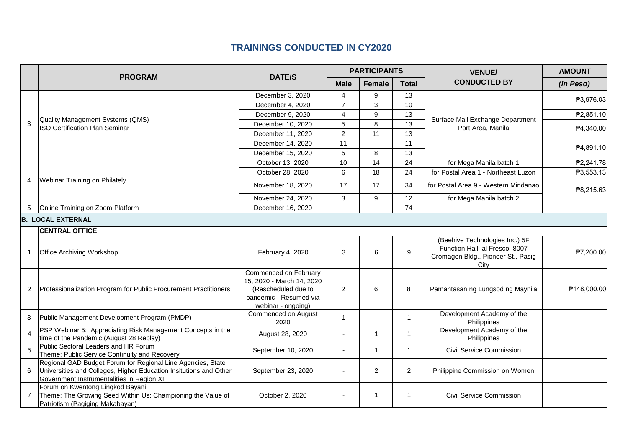|              | <b>PROGRAM</b>                                                                                                                                                                 |                                                                                                                           | <b>PARTICIPANTS</b> |               |                | <b>VENUE/</b>                                                                                                  | <b>AMOUNT</b> |
|--------------|--------------------------------------------------------------------------------------------------------------------------------------------------------------------------------|---------------------------------------------------------------------------------------------------------------------------|---------------------|---------------|----------------|----------------------------------------------------------------------------------------------------------------|---------------|
|              |                                                                                                                                                                                | <b>DATE/S</b>                                                                                                             | <b>Male</b>         | <b>Female</b> | <b>Total</b>   | <b>CONDUCTED BY</b>                                                                                            | (in Peso)     |
|              | Quality Management Systems (QMS)<br><b>ISO Certification Plan Seminar</b>                                                                                                      | December 3, 2020                                                                                                          | 4                   | 9             | 13             |                                                                                                                | ₱3,976.03     |
|              |                                                                                                                                                                                | December 4, 2020                                                                                                          | $\overline{7}$      | 3             | 10             |                                                                                                                |               |
|              |                                                                                                                                                                                | December 9, 2020                                                                                                          | 4                   | 9             | 13             |                                                                                                                | ₱2,851.10     |
| 3            |                                                                                                                                                                                | December 10, 2020                                                                                                         | 5                   | 8             | 13             | Surface Mail Exchange Department<br>Port Area, Manila                                                          | ₱4,340.00     |
|              |                                                                                                                                                                                | December 11, 2020                                                                                                         | $\overline{2}$      | 11            | 13             |                                                                                                                |               |
|              |                                                                                                                                                                                | December 14, 2020                                                                                                         | 11                  |               | 11             |                                                                                                                |               |
|              |                                                                                                                                                                                | December 15, 2020                                                                                                         | 5                   | 8             | 13             |                                                                                                                | ₱4,891.10     |
|              |                                                                                                                                                                                | October 13, 2020                                                                                                          | 10                  | 14            | 24             | for Mega Manila batch 1                                                                                        | ₱2,241.78     |
|              |                                                                                                                                                                                | October 28, 2020                                                                                                          | 6                   | 18            | 24             | for Postal Area 1 - Northeast Luzon                                                                            | ₱3,553.13     |
| 4            | Webinar Training on Philately                                                                                                                                                  | November 18, 2020                                                                                                         | 17                  | 17            | 34             | for Postal Area 9 - Western Mindanao                                                                           | ₱8,215.63     |
|              |                                                                                                                                                                                | November 24, 2020                                                                                                         | 3                   | 9             | 12             | for Mega Manila batch 2                                                                                        |               |
|              | Online Training on Zoom Platform                                                                                                                                               | December 16, 2020                                                                                                         |                     |               | 74             |                                                                                                                |               |
|              | <b>B. LOCAL EXTERNAL</b>                                                                                                                                                       |                                                                                                                           |                     |               |                |                                                                                                                |               |
|              | <b>CENTRAL OFFICE</b>                                                                                                                                                          |                                                                                                                           |                     |               |                |                                                                                                                |               |
| 1            | <b>Office Archiving Workshop</b>                                                                                                                                               | February 4, 2020                                                                                                          | 3                   | 6             | 9              | (Beehive Technologies Inc.) 5F<br>Function Hall, al Fresco, 8007<br>Cromagen Bldg., Pioneer St., Pasig<br>City | ₱7,200.00     |
| $\mathbf{2}$ | Professionalization Program for Public Procurement Practitioners                                                                                                               | Commenced on February<br>15, 2020 - March 14, 2020<br>(Rescheduled due to<br>pandemic - Resumed via<br>webinar - ongoing) | $\overline{2}$      | 6             | 8              | Pamantasan ng Lungsod ng Maynila                                                                               | ₱148,000.00   |
| 3            | Public Management Development Program (PMDP)                                                                                                                                   | Commenced on August<br>2020                                                                                               | $\mathbf{1}$        |               | $\mathbf{1}$   | Development Academy of the<br>Philippines                                                                      |               |
|              | PSP Webinar 5: Appreciating Risk Management Concepts in the<br>time of the Pandemic (August 28 Replay)                                                                         | August 28, 2020                                                                                                           |                     | $\mathbf{1}$  | $\overline{1}$ | Development Academy of the<br>Philippines                                                                      |               |
| 5            | Public Sectoral Leaders and HR Forum<br>Theme: Public Service Continuity and Recovery                                                                                          | September 10, 2020                                                                                                        |                     | $\mathbf{1}$  | $\mathbf{1}$   | Civil Service Commission                                                                                       |               |
| 6            | Regional GAD Budget Forum for Regional Line Agencies, State<br>Universities and Colleges, Higher Education Insitutions and Other<br>Government Instrumentalities in Region XII | September 23, 2020                                                                                                        |                     | 2             | $\overline{2}$ | Philippine Commission on Women                                                                                 |               |
| 7            | Forum on Kwentong Lingkod Bayani<br>Theme: The Growing Seed Within Us: Championing the Value of<br>Patriotism (Pagiging Makabayan)                                             | October 2, 2020                                                                                                           |                     | -1            | -1             | <b>Civil Service Commission</b>                                                                                |               |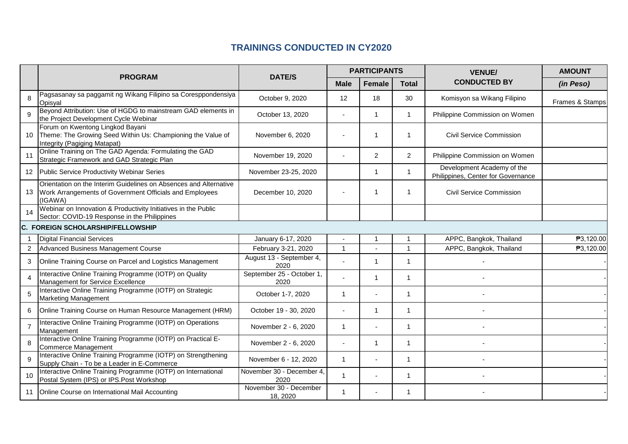|                |                                                                                                                                         |                                    | <b>PARTICIPANTS</b> |               |                | <b>VENUE/</b>                                                    | <b>AMOUNT</b>   |
|----------------|-----------------------------------------------------------------------------------------------------------------------------------------|------------------------------------|---------------------|---------------|----------------|------------------------------------------------------------------|-----------------|
|                | <b>PROGRAM</b>                                                                                                                          | <b>DATE/S</b>                      | <b>Male</b>         | <b>Female</b> | <b>Total</b>   | <b>CONDUCTED BY</b>                                              | (in Peso)       |
| 8              | Pagsasanay sa paggamit ng Wikang Filipino sa Coresppondensiya<br>Opisyal                                                                | October 9, 2020                    | 12                  | 18            | 30             | Komisyon sa Wikang Filipino                                      | Frames & Stamps |
| 9              | Beyond Attribution: Use of HGDG to mainstream GAD elements in<br>the Project Development Cycle Webinar                                  | October 13, 2020                   |                     | 1             | $\mathbf{1}$   | Philippine Commission on Women                                   |                 |
| 10             | Forum on Kwentong Lingkod Bayani<br>Theme: The Growing Seed Within Us: Championing the Value of<br>Integrity (Pagiging Matapat)         | November 6, 2020                   |                     | 1             | $\mathbf 1$    | <b>Civil Service Commission</b>                                  |                 |
| 11             | Online Training on The GAD Agenda: Formulating the GAD<br>Strategic Framework and GAD Strategic Plan                                    | November 19, 2020                  |                     | 2             | 2              | Philippine Commission on Women                                   |                 |
|                | 12 Public Service Productivity Webinar Series                                                                                           | November 23-25, 2020               |                     | 1             | $\mathbf{1}$   | Development Academy of the<br>Philippines, Center for Governance |                 |
| 13             | Orientation on the Interim Guidelines on Absences and Alternative<br>Work Arrangements of Government Officials and Employees<br>(IGAWA) | December 10, 2020                  |                     | 1             | -1             | <b>Civil Service Commission</b>                                  |                 |
| 14             | Webinar on Innovation & Productivity Initiatives in the Public<br>Sector: COVID-19 Response in the Philippines                          |                                    |                     |               |                |                                                                  |                 |
|                | C. FOREIGN SCHOLARSHIP/FELLOWSHIP                                                                                                       |                                    |                     |               |                |                                                                  |                 |
|                | <b>Digital Financial Services</b>                                                                                                       | January 6-17, 2020                 | $\overline{a}$      | $\mathbf{1}$  |                | APPC, Bangkok, Thailand                                          | ₱3,120.00       |
| 2              | Advanced Business Management Course                                                                                                     | February 3-21, 2020                | $\mathbf{1}$        |               | $\overline{1}$ | APPC, Bangkok, Thailand                                          | ₱3,120.00       |
| 3              | Online Training Course on Parcel and Logistics Management                                                                               | August 13 - September 4,<br>2020   |                     | 1             | $\mathbf{1}$   |                                                                  |                 |
| $\Delta$       | Interactive Online Training Programme (IOTP) on Quality<br>Management for Service Excellence                                            | September 25 - October 1,<br>2020  |                     | 1             | $\overline{1}$ |                                                                  |                 |
| 5              | Interactive Online Training Programme (IOTP) on Strategic<br><b>Marketing Management</b>                                                | October 1-7, 2020                  | $\mathbf{1}$        |               | $\mathbf{1}$   |                                                                  |                 |
| 6              | Online Training Course on Human Resource Management (HRM)                                                                               | October 19 - 30, 2020              |                     | 1             | $\mathbf{1}$   |                                                                  |                 |
| $\overline{7}$ | Interactive Online Training Programme (IOTP) on Operations<br>Management                                                                | November 2 - 6, 2020               | $\mathbf{1}$        |               | $\mathbf{1}$   |                                                                  |                 |
| 8              | Interactive Online Training Programme (IOTP) on Practical E-<br>Commerce Management                                                     | November 2 - 6, 2020               | $\sim$              | -1            | $\mathbf{1}$   |                                                                  |                 |
| 9              | Interactive Online Training Programme (IOTP) on Strengthening<br>Supply Chain - To be a Leader in E-Commerce                            | November 6 - 12, 2020              | $\mathbf{1}$        |               | $\mathbf{1}$   |                                                                  |                 |
| 10             | Interactive Online Training Programme (IOTP) on International<br>Postal System (IPS) or IPS.Post Workshop                               | November 30 - December 4,<br>2020  | $\mathbf{1}$        |               | -1             |                                                                  |                 |
| 11             | Online Course on International Mail Accounting                                                                                          | November 30 - December<br>18, 2020 | $\mathbf{1}$        |               | $\mathbf{1}$   |                                                                  |                 |